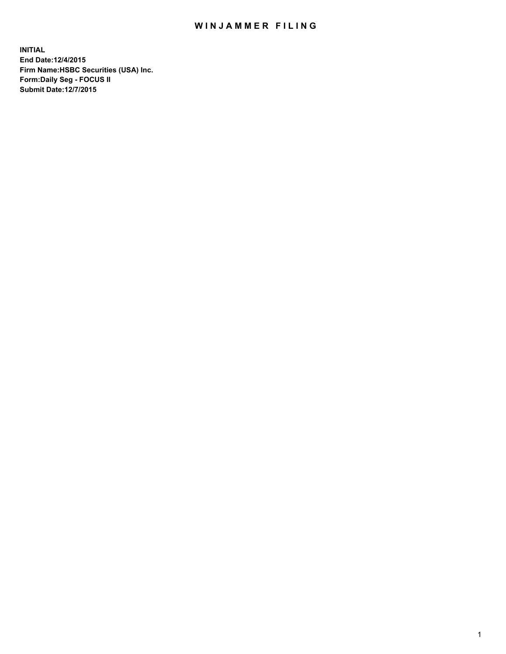## WIN JAMMER FILING

**INITIAL End Date:12/4/2015 Firm Name:HSBC Securities (USA) Inc. Form:Daily Seg - FOCUS II Submit Date:12/7/2015**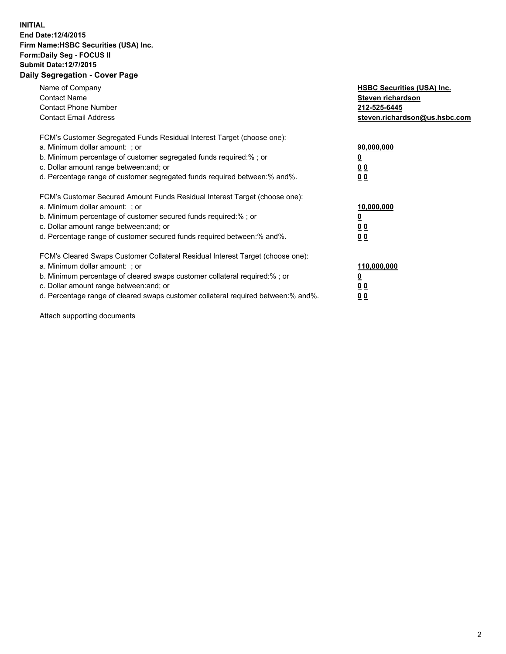## **INITIAL End Date:12/4/2015 Firm Name:HSBC Securities (USA) Inc. Form:Daily Seg - FOCUS II Submit Date:12/7/2015 Daily Segregation - Cover Page**

| Name of Company<br><b>Contact Name</b><br><b>Contact Phone Number</b><br><b>Contact Email Address</b>                                                                                                                                                                                                                         | <b>HSBC Securities (USA) Inc.</b><br>Steven richardson<br>212-525-6445<br>steven.richardson@us.hsbc.com |
|-------------------------------------------------------------------------------------------------------------------------------------------------------------------------------------------------------------------------------------------------------------------------------------------------------------------------------|---------------------------------------------------------------------------------------------------------|
| FCM's Customer Segregated Funds Residual Interest Target (choose one):<br>a. Minimum dollar amount: ; or<br>b. Minimum percentage of customer segregated funds required: % ; or<br>c. Dollar amount range between: and; or<br>d. Percentage range of customer segregated funds required between:% and%.                       | 90,000,000<br><u>0</u><br>0 <sub>0</sub><br>0 <sub>0</sub>                                              |
| FCM's Customer Secured Amount Funds Residual Interest Target (choose one):<br>a. Minimum dollar amount: ; or<br>b. Minimum percentage of customer secured funds required:%; or<br>c. Dollar amount range between: and; or<br>d. Percentage range of customer secured funds required between:% and%.                           | 10,000,000<br><u>0</u><br>0 <sub>0</sub><br>0 <sub>0</sub>                                              |
| FCM's Cleared Swaps Customer Collateral Residual Interest Target (choose one):<br>a. Minimum dollar amount: ; or<br>b. Minimum percentage of cleared swaps customer collateral required:%; or<br>c. Dollar amount range between: and; or<br>d. Percentage range of cleared swaps customer collateral required between:% and%. | 110,000,000<br><u>0</u><br>0 <sub>0</sub><br>0 <sub>0</sub>                                             |

Attach supporting documents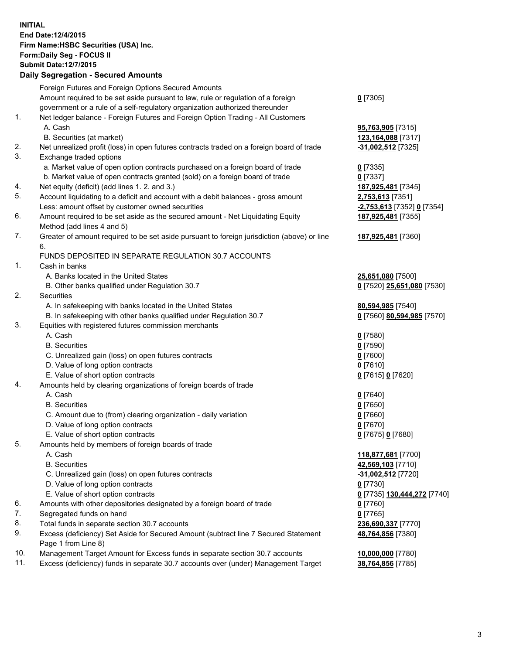**INITIAL End Date:12/4/2015 Firm Name:HSBC Securities (USA) Inc. Form:Daily Seg - FOCUS II Submit Date:12/7/2015 Daily Segregation - Secured Amounts**

|     | Foreign Futures and Foreign Options Secured Amounts                                         |                                          |
|-----|---------------------------------------------------------------------------------------------|------------------------------------------|
|     | Amount required to be set aside pursuant to law, rule or regulation of a foreign            | $0$ [7305]                               |
|     | government or a rule of a self-regulatory organization authorized thereunder                |                                          |
| 1.  | Net ledger balance - Foreign Futures and Foreign Option Trading - All Customers             |                                          |
|     | A. Cash                                                                                     | 95,763,905 [7315]                        |
|     | B. Securities (at market)                                                                   | 123,164,088 [7317]                       |
| 2.  | Net unrealized profit (loss) in open futures contracts traded on a foreign board of trade   | -31,002,512 [7325]                       |
| 3.  | Exchange traded options                                                                     |                                          |
|     | a. Market value of open option contracts purchased on a foreign board of trade              | $0$ [7335]                               |
|     | b. Market value of open contracts granted (sold) on a foreign board of trade                | $0$ [7337]                               |
| 4.  | Net equity (deficit) (add lines 1.2. and 3.)                                                | 187,925,481 [7345]                       |
| 5.  | Account liquidating to a deficit and account with a debit balances - gross amount           | 2,753,613 [7351]                         |
|     | Less: amount offset by customer owned securities                                            | <u>-2,753,613</u> [7352] <u>0</u> [7354] |
| 6.  | Amount required to be set aside as the secured amount - Net Liquidating Equity              | 187,925,481 [7355]                       |
|     | Method (add lines 4 and 5)                                                                  |                                          |
| 7.  | Greater of amount required to be set aside pursuant to foreign jurisdiction (above) or line | 187,925,481 [7360]                       |
|     | 6.                                                                                          |                                          |
|     | FUNDS DEPOSITED IN SEPARATE REGULATION 30.7 ACCOUNTS                                        |                                          |
| 1.  | Cash in banks                                                                               |                                          |
|     | A. Banks located in the United States                                                       | 25,651,080 [7500]                        |
|     | B. Other banks qualified under Regulation 30.7                                              | 0 [7520] 25,651,080 [7530]               |
| 2.  | Securities                                                                                  |                                          |
|     | A. In safekeeping with banks located in the United States                                   | 80,594,985 [7540]                        |
|     | B. In safekeeping with other banks qualified under Regulation 30.7                          | 0 [7560] 80,594,985 [7570]               |
| 3.  | Equities with registered futures commission merchants                                       |                                          |
|     | A. Cash                                                                                     | $0$ [7580]                               |
|     | <b>B.</b> Securities                                                                        | $0$ [7590]                               |
|     |                                                                                             |                                          |
|     | C. Unrealized gain (loss) on open futures contracts                                         | $0$ [7600]                               |
|     | D. Value of long option contracts                                                           | $0$ [7610]                               |
|     | E. Value of short option contracts                                                          | 0 [7615] 0 [7620]                        |
| 4.  | Amounts held by clearing organizations of foreign boards of trade                           |                                          |
|     | A. Cash                                                                                     | $0$ [7640]                               |
|     | <b>B.</b> Securities                                                                        | $0$ [7650]                               |
|     | C. Amount due to (from) clearing organization - daily variation                             | $0$ [7660]                               |
|     | D. Value of long option contracts                                                           | $0$ [7670]                               |
|     | E. Value of short option contracts                                                          | 0 [7675] 0 [7680]                        |
| 5.  | Amounts held by members of foreign boards of trade                                          |                                          |
|     | A. Cash                                                                                     | 118,877,681 [7700]                       |
|     | <b>B.</b> Securities                                                                        | 42,569,103 [7710]                        |
|     | C. Unrealized gain (loss) on open futures contracts                                         | -31,002,512 [7720]                       |
|     | D. Value of long option contracts                                                           | $0$ [7730]                               |
|     | E. Value of short option contracts                                                          | 0 [7735] 130,444,272 [7740]              |
| 6.  | Amounts with other depositories designated by a foreign board of trade                      | $0$ [7760]                               |
| 7.  | Segregated funds on hand                                                                    | $0$ [7765]                               |
| 8.  | Total funds in separate section 30.7 accounts                                               | 236,690,337 [7770]                       |
| 9.  | Excess (deficiency) Set Aside for Secured Amount (subtract line 7 Secured Statement         | 48,764,856 [7380]                        |
|     | Page 1 from Line 8)                                                                         |                                          |
| 10. | Management Target Amount for Excess funds in separate section 30.7 accounts                 | 10,000,000 [7780]                        |
| 11. | Excess (deficiency) funds in separate 30.7 accounts over (under) Management Target          | 38,764,856 [7785]                        |
|     |                                                                                             |                                          |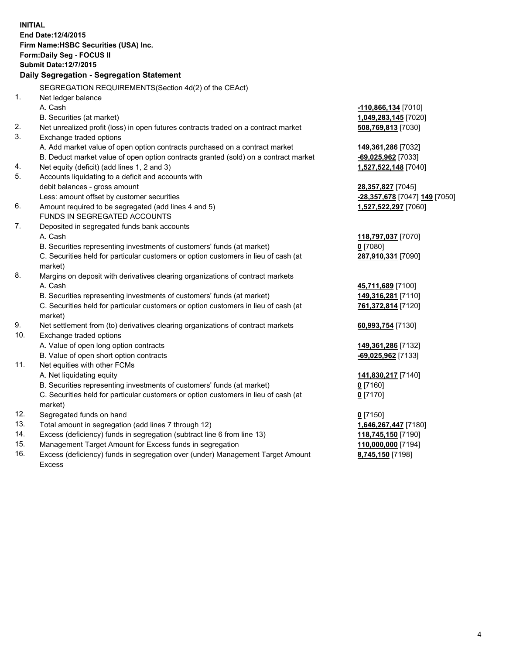**INITIAL End Date:12/4/2015 Firm Name:HSBC Securities (USA) Inc. Form:Daily Seg - FOCUS II Submit Date:12/7/2015 Daily Segregation - Segregation Statement** SEGREGATION REQUIREMENTS(Section 4d(2) of the CEAct) 1. Net ledger balance A. Cash **-110,866,134** [7010] B. Securities (at market) **1,049,283,145** [7020] 2. Net unrealized profit (loss) in open futures contracts traded on a contract market **508,769,813** [7030] 3. Exchange traded options A. Add market value of open option contracts purchased on a contract market **149,361,286** [7032] B. Deduct market value of open option contracts granted (sold) on a contract market **-69,025,962** [7033] 4. Net equity (deficit) (add lines 1, 2 and 3) **1,527,522,148** [7040] 5. Accounts liquidating to a deficit and accounts with debit balances - gross amount **28,357,827** [7045] Less: amount offset by customer securities **-28,357,678** [7047] **149** [7050] 6. Amount required to be segregated (add lines 4 and 5) **1,527,522,297** [7060] FUNDS IN SEGREGATED ACCOUNTS 7. Deposited in segregated funds bank accounts A. Cash **118,797,037** [7070] B. Securities representing investments of customers' funds (at market) **0** [7080] C. Securities held for particular customers or option customers in lieu of cash (at market) **287,910,331** [7090] 8. Margins on deposit with derivatives clearing organizations of contract markets A. Cash **45,711,689** [7100] B. Securities representing investments of customers' funds (at market) **149,316,281** [7110] C. Securities held for particular customers or option customers in lieu of cash (at market) **761,372,814** [7120] 9. Net settlement from (to) derivatives clearing organizations of contract markets **60,993,754** [7130] 10. Exchange traded options A. Value of open long option contracts **149,361,286** [7132] B. Value of open short option contracts **-69,025,962** [7133] 11. Net equities with other FCMs A. Net liquidating equity **141,830,217** [7140] B. Securities representing investments of customers' funds (at market) **0** [7160] C. Securities held for particular customers or option customers in lieu of cash (at market) **0** [7170] 12. Segregated funds on hand **0** [7150] 13. Total amount in segregation (add lines 7 through 12) **1,646,267,447** [7180] 14. Excess (deficiency) funds in segregation (subtract line 6 from line 13) **118,745,150** [7190] 15. Management Target Amount for Excess funds in segregation **110,000,000** [7194]

16. Excess (deficiency) funds in segregation over (under) Management Target Amount Excess

**8,745,150** [7198]